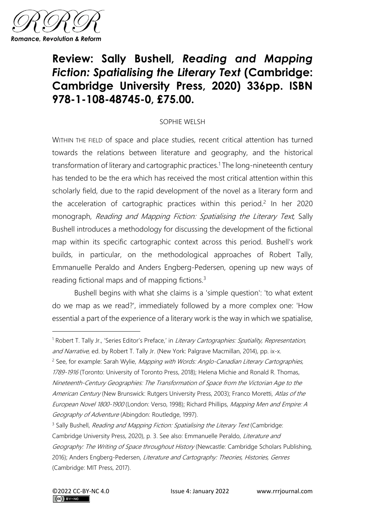

## **Review: Sally Bushell,** *Reading and Mapping Fiction: Spatialising the Literary Text* **(Cambridge: Cambridge University Press, 2020) 336pp. ISBN 978-1-108-48745-0, £75.00.**

## SOPHIE WELSH

WITHIN THE FIELD of space and place studies, recent critical attention has turned towards the relations between literature and geography, and the historical transformation of literary and cartographic practices.<sup>1</sup> The long-nineteenth century has tended to be the era which has received the most critical attention within this scholarly field, due to the rapid development of the novel as a literary form and the acceleration of cartographic practices within this period.<sup>2</sup> In her 2020 monograph, Reading and Mapping Fiction: Spatialising the Literary Text, Sally Bushell introduces a methodology for discussing the development of the fictional map within its specific cartographic context across this period. Bushell's work builds, in particular, on the methodological approaches of Robert Tally, Emmanuelle Peraldo and Anders Engberg-Pedersen, opening up new ways of reading fictional maps and of mapping fictions.<sup>3</sup>

Bushell begins with what she claims is a 'simple question': 'to what extent do we map as we read?', immediately followed by a more complex one: 'How essential a part of the experience of a literary work is the way in which we spatialise,

<sup>&</sup>lt;sup>1</sup> Robert T. Tally Jr., 'Series Editor's Preface,' in *Literary Cartographies: Spatiality, Representation,* and Narrative, ed. by Robert T. Tally Jr. (New York: Palgrave Macmillan, 2014), pp. ix-x.

<sup>&</sup>lt;sup>2</sup> See, for example: Sarah Wylie, *Mapping with Words: Anglo-Canadian Literary Cartographies,* 1789-1916 (Toronto: University of Toronto Press, 2018); Helena Michie and Ronald R. Thomas, Nineteenth-Century Geographies: The Transformation of Space from the Victorian Age to the American Century (New Brunswick: Rutgers University Press, 2003); Franco Moretti, Atlas of the European Novel 1800-1900 (London: Verso, 1998); Richard Phillips, Mapping Men and Empire: A Geography of Adventure (Abingdon: Routledge, 1997).

<sup>&</sup>lt;sup>3</sup> Sally Bushell, *Reading and Mapping Fiction: Spatialising the Literary Text* (Cambridge: Cambridge University Press, 2020), p. 3. See also: Emmanuelle Peraldo, Literature and Geography: The Writing of Space throughout History (Newcastle: Cambridge Scholars Publishing, 2016); Anders Engberg-Pedersen, Literature and Cartography: Theories, Histories, Genres (Cambridge: MIT Press, 2017).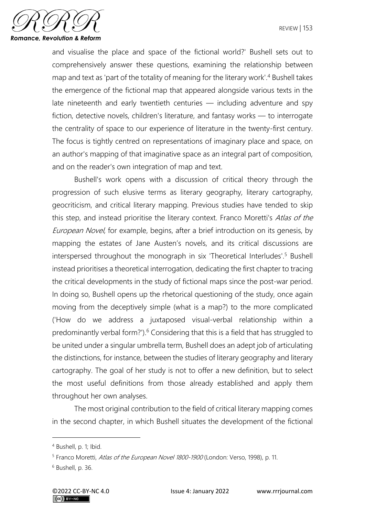

and visualise the place and space of the fictional world?' Bushell sets out to comprehensively answer these questions, examining the relationship between map and text as 'part of the totality of meaning for the literary work'.<sup>4</sup> Bushell takes the emergence of the fictional map that appeared alongside various texts in the late nineteenth and early twentieth centuries — including adventure and spy fiction, detective novels, children's literature, and fantasy works — to interrogate the centrality of space to our experience of literature in the twenty-first century. The focus is tightly centred on representations of imaginary place and space, on an author's mapping of that imaginative space as an integral part of composition, and on the reader's own integration of map and text.

Bushell's work opens with a discussion of critical theory through the progression of such elusive terms as literary geography, literary cartography, geocriticism, and critical literary mapping. Previous studies have tended to skip this step, and instead prioritise the literary context. Franco Moretti's Atlas of the European Novel, for example, begins, after a brief introduction on its genesis, by mapping the estates of Jane Austen's novels, and its critical discussions are interspersed throughout the monograph in six 'Theoretical Interludes'.<sup>5</sup> Bushell instead prioritises a theoretical interrogation, dedicating the first chapter to tracing the critical developments in the study of fictional maps since the post-war period. In doing so, Bushell opens up the rhetorical questioning of the study, once again moving from the deceptively simple (what is a map?) to the more complicated ('How do we address a juxtaposed visual-verbal relationship within a predominantly verbal form?').<sup>6</sup> Considering that this is a field that has struggled to be united under a singular umbrella term, Bushell does an adept job of articulating the distinctions, for instance, between the studies of literary geography and literary cartography. The goal of her study is not to offer a new definition, but to select the most useful definitions from those already established and apply them throughout her own analyses.

The most original contribution to the field of critical literary mapping comes in the second chapter, in which Bushell situates the development of the fictional

<sup>4</sup> Bushell, p. 1; Ibid.

<sup>&</sup>lt;sup>5</sup> Franco Moretti, Atlas of the European Novel 1800-1900 (London: Verso, 1998), p. 11.

<sup>6</sup> Bushell, p. 36.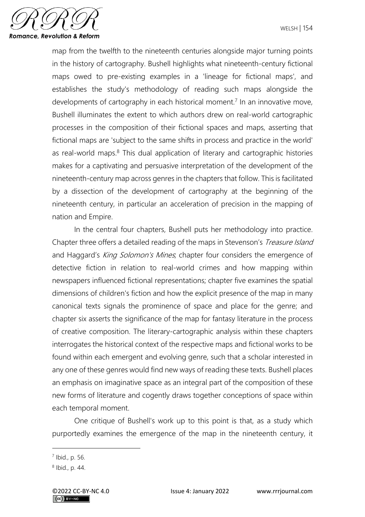

map from the twelfth to the nineteenth centuries alongside major turning points in the history of cartography. Bushell highlights what nineteenth-century fictional maps owed to pre-existing examples in a 'lineage for fictional maps', and establishes the study's methodology of reading such maps alongside the developments of cartography in each historical moment.<sup>7</sup> In an innovative move, Bushell illuminates the extent to which authors drew on real-world cartographic processes in the composition of their fictional spaces and maps, asserting that fictional maps are 'subject to the same shifts in process and practice in the world' as real-world maps. $8$  This dual application of literary and cartographic histories makes for a captivating and persuasive interpretation of the development of the nineteenth-century map across genres in the chapters that follow. This is facilitated by a dissection of the development of cartography at the beginning of the nineteenth century, in particular an acceleration of precision in the mapping of nation and Empire.

In the central four chapters, Bushell puts her methodology into practice. Chapter three offers a detailed reading of the maps in Stevenson's *Treasure Island* and Haggard's King Solomon's Mines, chapter four considers the emergence of detective fiction in relation to real-world crimes and how mapping within newspapers influenced fictional representations; chapter five examines the spatial dimensions of children's fiction and how the explicit presence of the map in many canonical texts signals the prominence of space and place for the genre; and chapter six asserts the significance of the map for fantasy literature in the process of creative composition. The literary-cartographic analysis within these chapters interrogates the historical context of the respective maps and fictional works to be found within each emergent and evolving genre, such that a scholar interested in any one of these genres would find new ways of reading these texts. Bushell places an emphasis on imaginative space as an integral part of the composition of these new forms of literature and cogently draws together conceptions of space within each temporal moment.

One critique of Bushell's work up to this point is that, as a study which purportedly examines the emergence of the map in the nineteenth century, it

<sup>7</sup> Ibid., p. 56.

<sup>8</sup> Ibid., p. 44.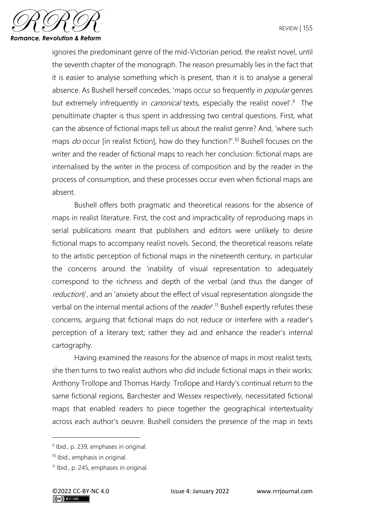

ignores the predominant genre of the mid-Victorian period, the realist novel, until the seventh chapter of the monograph. The reason presumably lies in the fact that it is easier to analyse something which is present, than it is to analyse a general absence. As Bushell herself concedes, 'maps occur so frequently in *popular* genres but extremely infrequently in *canonical* texts, especially the realist novel<sup>'.9</sup> The penultimate chapter is thus spent in addressing two central questions. First, what can the absence of fictional maps tell us about the realist genre? And, 'where such maps  $do$  occur [in realist fiction], how do they function?'.<sup>10</sup> Bushell focuses on the writer and the reader of fictional maps to reach her conclusion: fictional maps are internalised by the writer in the process of composition and by the reader in the process of consumption, and these processes occur even when fictional maps are absent.

Bushell offers both pragmatic and theoretical reasons for the absence of maps in realist literature. First, the cost and impracticality of reproducing maps in serial publications meant that publishers and editors were unlikely to desire fictional maps to accompany realist novels. Second, the theoretical reasons relate to the artistic perception of fictional maps in the nineteenth century, in particular the concerns around the 'inability of visual representation to adequately correspond to the richness and depth of the verbal (and thus the danger of reduction)', and an 'anxiety about the effect of visual representation alongside the verbal on the internal mental actions of the *reader*.<sup>11</sup> Bushell expertly refutes these concerns, arguing that fictional maps do not reduce or interfere with a reader's perception of a literary text; rather they aid and enhance the reader's internal cartography.

Having examined the reasons for the absence of maps in most realist texts, she then turns to two realist authors who did include fictional maps in their works: Anthony Trollope and Thomas Hardy. Trollope and Hardy's continual return to the same fictional regions, Barchester and Wessex respectively, necessitated fictional maps that enabled readers to piece together the geographical intertextuality across each author's oeuvre. Bushell considers the presence of the map in texts

<sup>&</sup>lt;sup>9</sup> Ibid., p. 239, emphases in original.

<sup>10</sup> Ibid., emphasis in original.

<sup>11</sup> Ibid., p. 245, emphases in original.